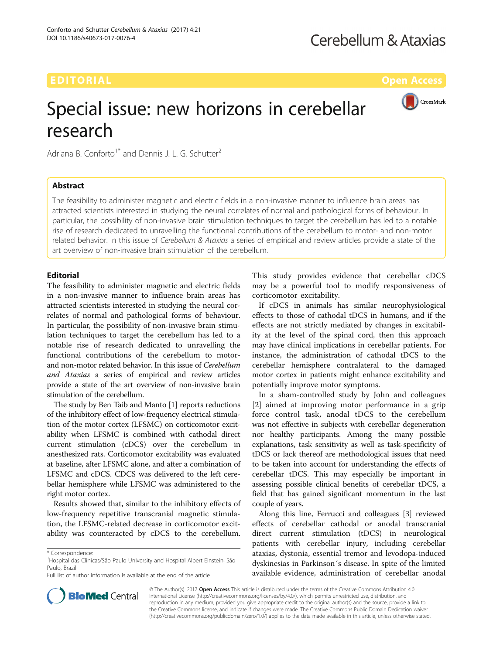CrossMark



Adriana B. Conforto<sup>1\*</sup> and Dennis J. L. G. Schutter<sup>2</sup>

# Abstract

The feasibility to administer magnetic and electric fields in a non-invasive manner to influence brain areas has attracted scientists interested in studying the neural correlates of normal and pathological forms of behaviour. In particular, the possibility of non-invasive brain stimulation techniques to target the cerebellum has led to a notable rise of research dedicated to unravelling the functional contributions of the cerebellum to motor- and non-motor related behavior. In this issue of Cerebellum & Ataxias a series of empirical and review articles provide a state of the art overview of non-invasive brain stimulation of the cerebellum.

# Editorial

The feasibility to administer magnetic and electric fields in a non-invasive manner to influence brain areas has attracted scientists interested in studying the neural correlates of normal and pathological forms of behaviour. In particular, the possibility of non-invasive brain stimulation techniques to target the cerebellum has led to a notable rise of research dedicated to unravelling the functional contributions of the cerebellum to motorand non-motor related behavior. In this issue of Cerebellum and Ataxias a series of empirical and review articles provide a state of the art overview of non-invasive brain stimulation of the cerebellum.

The study by Ben Taib and Manto [[1\]](#page-1-0) reports reductions of the inhibitory effect of low-frequency electrical stimulation of the motor cortex (LFSMC) on corticomotor excitability when LFSMC is combined with cathodal direct current stimulation (cDCS) over the cerebellum in anesthesized rats. Corticomotor excitability was evaluated at baseline, after LFSMC alone, and after a combination of LFSMC and cDCS. CDCS was delivered to the left cerebellar hemisphere while LFSMC was administered to the right motor cortex.

Results showed that, similar to the inhibitory effects of low-frequency repetitive transcranial magnetic stimulation, the LFSMC-related decrease in corticomotor excitability was counteracted by cDCS to the cerebellum.

Full list of author information is available at the end of the article

This study provides evidence that cerebellar cDCS may be a powerful tool to modify responsiveness of corticomotor excitability.

If cDCS in animals has similar neurophysiological effects to those of cathodal tDCS in humans, and if the effects are not strictly mediated by changes in excitability at the level of the spinal cord, then this approach may have clinical implications in cerebellar patients. For instance, the administration of cathodal tDCS to the cerebellar hemisphere contralateral to the damaged motor cortex in patients might enhance excitability and potentially improve motor symptoms.

In a sham-controlled study by John and colleagues [[2\]](#page-1-0) aimed at improving motor performance in a grip force control task, anodal tDCS to the cerebellum was not effective in subjects with cerebellar degeneration nor healthy participants. Among the many possible explanations, task sensitivity as well as task-specificity of tDCS or lack thereof are methodological issues that need to be taken into account for understanding the effects of cerebellar tDCS. This may especially be important in assessing possible clinical benefits of cerebellar tDCS, a field that has gained significant momentum in the last couple of years.

Along this line, Ferrucci and colleagues [[3\]](#page-1-0) reviewed effects of cerebellar cathodal or anodal transcranial direct current stimulation (tDCS) in neurological patients with cerebellar injury, including cerebellar ataxias, dystonia, essential tremor and levodopa-induced dyskinesias in Parkinson´s disease. In spite of the limited available evidence, administration of cerebellar anodal



© The Author(s). 2017 **Open Access** This article is distributed under the terms of the Creative Commons Attribution 4.0 International License [\(http://creativecommons.org/licenses/by/4.0/](http://creativecommons.org/licenses/by/4.0/)), which permits unrestricted use, distribution, and reproduction in any medium, provided you give appropriate credit to the original author(s) and the source, provide a link to the Creative Commons license, and indicate if changes were made. The Creative Commons Public Domain Dedication waiver [\(http://creativecommons.org/publicdomain/zero/1.0/](http://creativecommons.org/publicdomain/zero/1.0/)) applies to the data made available in this article, unless otherwise stated.

<sup>\*</sup> Correspondence:

<sup>&</sup>lt;sup>1</sup> Hospital das Clinicas/São Paulo University and Hospital Albert Einstein, São Paulo, Brazil